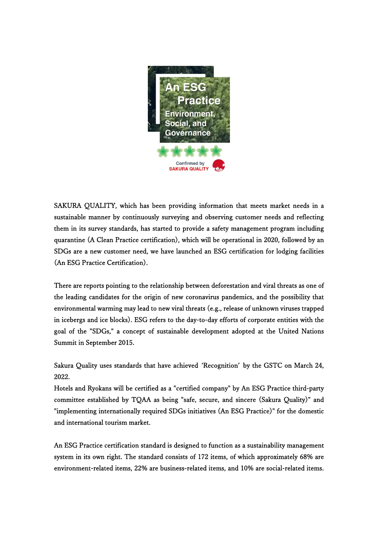

SAKURA QUALITY, which has been providing information that meets market needs in a sustainable manner by continuously surveying and observing customer needs and reflecting them in its survey standards, has started to provide a safety management program including quarantine (A Clean Practice certification), which will be operational in 2020, followed by an SDGs are a new customer need, we have launched an ESG certification for lodging facilities (An ESG Practice Certification).

There are reports pointing to the relationship between deforestation and viral threats as one of the leading candidates for the origin of new coronavirus pandemics, and the possibility that environmental warming may lead to new viral threats (e.g., release of unknown viruses trapped in icebergs and ice blocks). ESG refers to the day-to-day efforts of corporate entities with the goal of the "SDGs," a concept of sustainable development adopted at the United Nations Summit in September 2015.

Sakura Quality uses standards that have achieved ʻRecognition' by the GSTC on March 24, 2022.

Hotels and Ryokans will be certified as a "certified company" by An ESG Practice third-party committee established by TQAA as being "safe, secure, and sincere (Sakura Quality)" and "implementing internationally required SDGs initiatives (An ESG Practice)" for the domestic and international tourism market.

An ESG Practice certification standard is designed to function as a sustainability management system in its own right. The standard consists of 172 items, of which approximately 68% are environment-related items, 22% are business-related items, and 10% are social-related items.